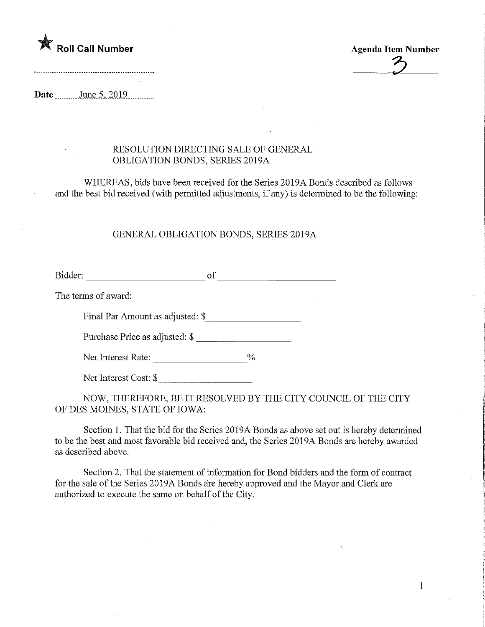

**Agenda Item Number** 

 $\mathbf{1}$ 

Date June 5, 2019

## RESOLUTION DIRECTING SALE OF GENERAL OBLIGATION BONDS, SERIES 2019A

WHEREAS, bids have been received for the Series 2019A Bonds described as follows and the best bid received (with permitted adjustments, if any) is determined to be the following

## GENERAL OBLIGATION BONDS, SERIES 2019A

Bidder: of

The terms of award:

Final Par Amount as adjusted: \$

Purchase Price as adjusted: \$

Net Interest Rate:

Net Interest Cost: \$

NOW, THEREFORE, BE IT RESOLVED BY THE CITY COUNCIL OF THE CITY OF DES MOINES, STATE OF IOWA:

Section 1. That the bid for the Series 2019A Bonds as above set out is hereby determined to be the best and most favorable bid received and, the Series 2019A Bonds are hereby awarded as described above.

Section 2. That the statement of information for Bond bidders and the form of contract for the sale of the Series 2019A Bonds are hereby approved and the Mayor and Clerk are authorized to execute the same on behalf of the City.